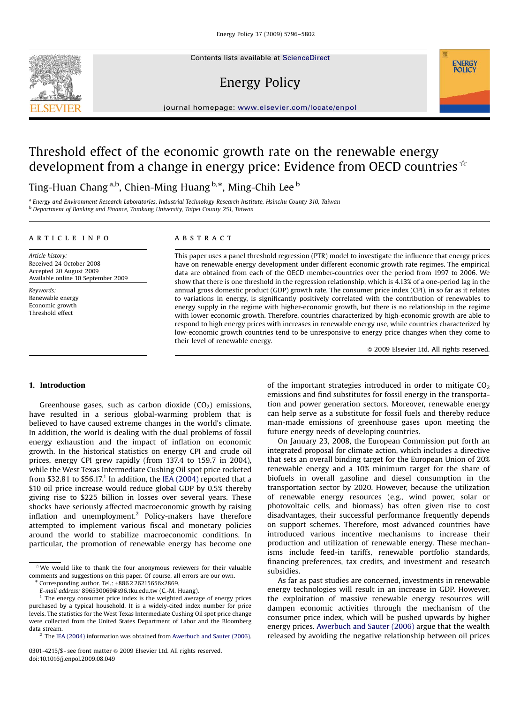Contents lists available at ScienceDirect

# Energy Policy



# Threshold effect of the economic growth rate on the renewable energy development from a change in energy price: Evidence from OECD countries  $\dot{\alpha}$

Ting-Huan Chang <sup>a,b</sup>, Chien-Ming Huang <sup>b,</sup>\*, Ming-Chih Lee <sup>b</sup>

<sup>a</sup> Energy and Environment Research Laboratories, Industrial Technology Research Institute, Hsinchu County 310, Taiwan b Department of Banking and Finance, Tamkang University, Taipei County 251, Taiwan

#### article info

Article history: Received 24 October 2008 Accepted 20 August 2009 Available online 10 September 2009

Keywords: Renewable energy Economic growth Threshold effect

### **ABSTRACT**

This paper uses a panel threshold regression (PTR) model to investigate the influence that energy prices have on renewable energy development under different economic growth rate regimes. The empirical data are obtained from each of the OECD member-countries over the period from 1997 to 2006. We show that there is one threshold in the regression relationship, which is 4.13% of a one-period lag in the annual gross domestic product (GDP) growth rate. The consumer price index (CPI), in so far as it relates to variations in energy, is significantly positively correlated with the contribution of renewables to energy supply in the regime with higher-economic growth, but there is no relationship in the regime with lower economic growth. Therefore, countries characterized by high-economic growth are able to respond to high energy prices with increases in renewable energy use, while countries characterized by low-economic growth countries tend to be unresponsive to energy price changes when they come to their level of renewable energy.

& 2009 Elsevier Ltd. All rights reserved.

**ENERGY POLICY** 

### 1. Introduction

Greenhouse gases, such as carbon dioxide  $(CO<sub>2</sub>)$  emissions, have resulted in a serious global-warming problem that is believed to have caused extreme changes in the world's climate. In addition, the world is dealing with the dual problems of fossil energy exhaustion and the impact of inflation on economic growth. In the historical statistics on energy CPI and crude oil prices, energy CPI grew rapidly (from 137.4 to 159.7 in 2004), while the West Texas Intermediate Cushing Oil spot price rocketed from \$32.81 to \$56.17.<sup>1</sup> In addition, the [IEA \(2004\)](#page--1-0) reported that a \$10 oil price increase would reduce global GDP by 0.5% thereby giving rise to \$225 billion in losses over several years. These shocks have seriously affected macroeconomic growth by raising inflation and unemployment.<sup>2</sup> Policy-makers have therefore attempted to implement various fiscal and monetary policies around the world to stabilize macroeconomic conditions. In particular, the promotion of renewable energy has become one of the important strategies introduced in order to mitigate  $CO<sub>2</sub>$ emissions and find substitutes for fossil energy in the transportation and power generation sectors. Moreover, renewable energy can help serve as a substitute for fossil fuels and thereby reduce man-made emissions of greenhouse gases upon meeting the future energy needs of developing countries.

On January 23, 2008, the European Commission put forth an integrated proposal for climate action, which includes a directive that sets an overall binding target for the European Union of 20% renewable energy and a 10% minimum target for the share of biofuels in overall gasoline and diesel consumption in the transportation sector by 2020. However, because the utilization of renewable energy resources (e.g., wind power, solar or photovoltaic cells, and biomass) has often given rise to cost disadvantages, their successful performance frequently depends on support schemes. Therefore, most advanced countries have introduced various incentive mechanisms to increase their production and utilization of renewable energy. These mechanisms include feed-in tariffs, renewable portfolio standards, financing preferences, tax credits, and investment and research subsidies.

As far as past studies are concerned, investments in renewable energy technologies will result in an increase in GDP. However, the exploitation of massive renewable energy resources will dampen economic activities through the mechanism of the consumer price index, which will be pushed upwards by higher energy prices. [Awerbuch and Sauter \(2006\)](#page--1-0) argue that the wealth released by avoiding the negative relationship between oil prices



 $*$ We would like to thank the four anonymous reviewers for their valuable comments and suggestions on this paper. Of course, all errors are our own.

Corresponding author. Tel.: +886 2 26215656x2869.

E-mail address: [896530069@s96.tku.edu.tw \(C.-M. Huang\)](mailto:896530069@s96.tku.edu.tw).

<sup>&</sup>lt;sup>1</sup> The energy consumer price index is the weighted average of energy prices purchased by a typical household. It is a widely-cited index number for price levels. The statistics for the West Texas Intermediate Cushing Oil spot price change were collected from the United States Department of Labor and the Bloomberg data stream.

<sup>&</sup>lt;sup>2</sup> The [IEA \(2004\)](#page--1-0) information was obtained from [Awerbuch and Sauter \(2006\)](#page--1-0).

<sup>0301-4215/\$ -</sup> see front matter @ 2009 Elsevier Ltd. All rights reserved. doi:[10.1016/j.enpol.2009.08.049](dx.doi.org/10.1016/j.enpol.2009.08.049)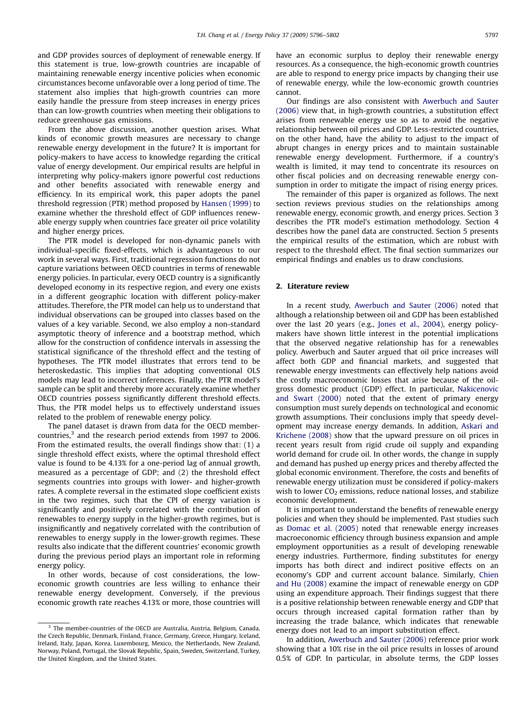and GDP provides sources of deployment of renewable energy. If this statement is true, low-growth countries are incapable of maintaining renewable energy incentive policies when economic circumstances become unfavorable over a long period of time. The statement also implies that high-growth countries can more easily handle the pressure from steep increases in energy prices than can low-growth countries when meeting their obligations to reduce greenhouse gas emissions.

From the above discussion, another question arises. What kinds of economic growth measures are necessary to change renewable energy development in the future? It is important for policy-makers to have access to knowledge regarding the critical value of energy development. Our empirical results are helpful in interpreting why policy-makers ignore powerful cost reductions and other benefits associated with renewable energy and efficiency. In its empirical work, this paper adopts the panel threshold regression (PTR) method proposed by [Hansen \(1999\)](#page--1-0) to examine whether the threshold effect of GDP influences renewable energy supply when countries face greater oil price volatility and higher energy prices.

The PTR model is developed for non-dynamic panels with individual-specific fixed-effects, which is advantageous to our work in several ways. First, traditional regression functions do not capture variations between OECD countries in terms of renewable energy policies. In particular, every OECD country is a significantly developed economy in its respective region, and every one exists in a different geographic location with different policy-maker attitudes. Therefore, the PTR model can help us to understand that individual observations can be grouped into classes based on the values of a key variable. Second, we also employ a non-standard asymptotic theory of inference and a bootstrap method, which allow for the construction of confidence intervals in assessing the statistical significance of the threshold effect and the testing of hypotheses. The PTR model illustrates that errors tend to be heteroskedastic. This implies that adopting conventional OLS models may lead to incorrect inferences. Finally, the PTR model's sample can be split and thereby more accurately examine whether OECD countries possess significantly different threshold effects. Thus, the PTR model helps us to effectively understand issues related to the problem of renewable energy policy.

The panel dataset is drawn from data for the OECD membercountries,<sup>3</sup> and the research period extends from 1997 to 2006. From the estimated results, the overall findings show that: (1) a single threshold effect exists, where the optimal threshold effect value is found to be 4.13% for a one-period lag of annual growth, measured as a percentage of GDP; and (2) the threshold effect segments countries into groups with lower- and higher-growth rates. A complete reversal in the estimated slope coefficient exists in the two regimes, such that the CPI of energy variation is significantly and positively correlated with the contribution of renewables to energy supply in the higher-growth regimes, but is insignificantly and negatively correlated with the contribution of renewables to energy supply in the lower-growth regimes. These results also indicate that the different countries' economic growth during the previous period plays an important role in reforming energy policy.

In other words, because of cost considerations, the loweconomic growth countries are less willing to enhance their renewable energy development. Conversely, if the previous economic growth rate reaches 4.13% or more, those countries will have an economic surplus to deploy their renewable energy resources. As a consequence, the high-economic growth countries are able to respond to energy price impacts by changing their use of renewable energy, while the low-economic growth countries cannot.

Our findings are also consistent with [Awerbuch and Sauter](#page--1-0) [\(2006\)](#page--1-0) view that, in high-growth countries, a substitution effect arises from renewable energy use so as to avoid the negative relationship between oil prices and GDP. Less-restricted countries, on the other hand, have the ability to adjust to the impact of abrupt changes in energy prices and to maintain sustainable renewable energy development. Furthermore, if a country's wealth is limited, it may tend to concentrate its resources on other fiscal policies and on decreasing renewable energy consumption in order to mitigate the impact of rising energy prices.

The remainder of this paper is organized as follows. The next section reviews previous studies on the relationships among renewable energy, economic growth, and energy prices. Section 3 describes the PTR model's estimation methodology. Section 4 describes how the panel data are constructed. Section 5 presents the empirical results of the estimation, which are robust with respect to the threshold effect. The final section summarizes our empirical findings and enables us to draw conclusions.

#### 2. Literature review

In a recent study, [Awerbuch and Sauter \(2006\)](#page--1-0) noted that although a relationship between oil and GDP has been established over the last 20 years (e.g., [Jones et al., 2004\)](#page--1-0), energy policymakers have shown little interest in the potential implications that the observed negative relationship has for a renewables policy. Awerbuch and Sauter argued that oil price increases will affect both GDP and financial markets, and suggested that renewable energy investments can effectively help nations avoid the costly macroeconomic losses that arise because of the oilgross domestic product (GDP) effect. In particular, [Nakicenovic](#page--1-0) [and Swart \(2000\)](#page--1-0) noted that the extent of primary energy consumption must surely depends on technological and economic growth assumptions. Their conclusions imply that speedy development may increase energy demands. In addition, [Askari and](#page--1-0) [Krichene \(2008\)](#page--1-0) show that the upward pressure on oil prices in recent years result from rigid crude oil supply and expanding world demand for crude oil. In other words, the change in supply and demand has pushed up energy prices and thereby affected the global economic environment. Therefore, the costs and benefits of renewable energy utilization must be considered if policy-makers wish to lower  $CO<sub>2</sub>$  emissions, reduce national losses, and stabilize economic development.

It is important to understand the benefits of renewable energy policies and when they should be implemented. Past studies such as [Domac et al. \(2005\)](#page--1-0) noted that renewable energy increases macroeconomic efficiency through business expansion and ample employment opportunities as a result of developing renewable energy industries. Furthermore, finding substitutes for energy imports has both direct and indirect positive effects on an economy's GDP and current account balance. Similarly, [Chien](#page--1-0) [and Hu \(2008\)](#page--1-0) examine the impact of renewable energy on GDP using an expenditure approach. Their findings suggest that there is a positive relationship between renewable energy and GDP that occurs through increased capital formation rather than by increasing the trade balance, which indicates that renewable energy does not lead to an import substitution effect.

In addition, [Awerbuch and Sauter \(2006\)](#page--1-0) reference prior work showing that a 10% rise in the oil price results in losses of around 0.5% of GDP. In particular, in absolute terms, the GDP losses

<sup>&</sup>lt;sup>3</sup> The member-countries of the OECD are Australia, Austria, Belgium, Canada, the Czech Republic, Denmark, Finland, France, Germany, Greece, Hungary, Iceland, Ireland, Italy, Japan, Korea, Luxembourg, Mexico, the Netherlands, New Zealand, Norway, Poland, Portugal, the Slovak Republic, Spain, Sweden, Switzerland, Turkey, the United Kingdom, and the United States.